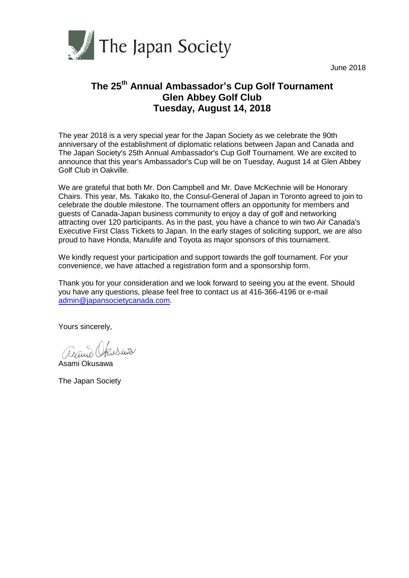

June 2018

# **The 25th Annual Ambassador's Cup Golf Tournament Glen Abbey Golf Club Tuesday, August 14, 2018**

The year 2018 is a very special year for the Japan Society as we celebrate the 90th anniversary of the establishment of diplomatic relations between Japan and Canada and The Japan Society's 25th Annual Ambassador's Cup Golf Tournament. We are excited to announce that this year's Ambassador's Cup will be on Tuesday, August 14 at Glen Abbey Golf Club in Oakville.

We are grateful that both Mr. Don Campbell and Mr. Dave McKechnie will be Honorary Chairs. This year, Ms. Takako Ito, the Consul-General of Japan in Toronto agreed to join to celebrate the double milestone. The tournament offers an opportunity for members and guests of Canada-Japan business community to enjoy a day of golf and networking attracting over 120 participants. As in the past, you have a chance to win two Air Canada's Executive First Class Tickets to Japan. In the early stages of soliciting support, we are also proud to have Honda, Manulife and Toyota as major sponsors of this tournament.

We kindly request your participation and support towards the golf tournament. For your convenience, we have attached a registration form and a sponsorship form.

Thank you for your consideration and we look forward to seeing you at the event. Should you have any questions, please feel free to contact us at 416-366-4196 or e-mail [admin@japansocietycanada.com.](mailto:admin@japansocietycanada.com)

Yours sincerely,

asand Okusawa

Asami Okusawa

The Japan Society